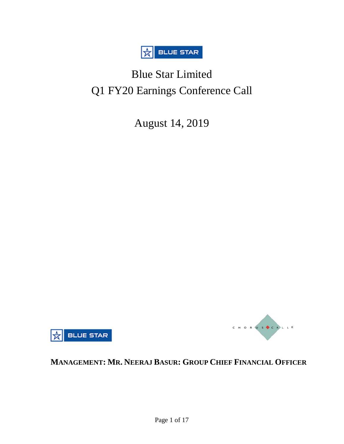

# Blue Star Limited Q1 FY20 Earnings Conference Call

August 14, 2019





## **MANAGEMENT: MR. NEERAJ BASUR: GROUP CHIEF FINANCIAL OFFICER**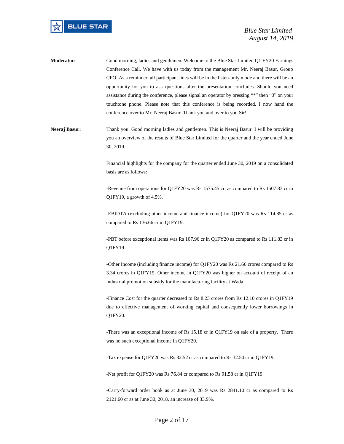

- **Moderator:** Good morning, ladies and gentlemen. Welcome to the Blue Star Limited Q1 FY20 Earnings Conference Call. We have with us today from the management Mr. Neeraj Basur, Group CFO. As a reminder, all participant lines will be in the listen-only mode and there will be an opportunity for you to ask questions after the presentation concludes. Should you need assistance during the conference, please signal an operator by pressing "\*" then "0" on your touchtone phone. Please note that this conference is being recorded. I now hand the conference over to Mr. Neeraj Basur. Thank you and over to you Sir!
- Neeraj Basur: Thank you. Good morning ladies and gentlemen. This is Neeraj Basur. I will be providing you an overview of the results of Blue Star Limited for the quarter and the year ended June 30, 2019.

Financial highlights for the company for the quarter ended June 30, 2019 on a consolidated basis are as follows:

-Revenue from operations for Q1FY20 was Rs 1575.45 cr, as compared to Rs 1507.83 cr in Q1FY19, a growth of 4.5%.

-EBIDTA (excluding other income and finance income) for Q1FY20 was Rs 114.85 cr as compared to Rs 136.66 cr in Q1FY19.

-PBT before exceptional items was Rs 107.96 cr in Q1FY20 as compared to Rs 111.83 cr in Q1FY19.

-Other Income (including finance income) for Q1FY20 was Rs 21.66 crores compared to Rs 3.34 crores in Q1FY19. Other income in Q1FY20 was higher on account of receipt of an industrial promotion subsidy for the manufacturing facility at Wada.

-Finance Cost for the quarter decreased to Rs 8.23 crores from Rs 12.10 crores in Q1FY19 due to effective management of working capital and consequently lower borrowings in Q1FY20.

-There was an exceptional income of Rs 15.18 cr in Q1FY19 on sale of a property. There was no such exceptional income in Q1FY20.

-Tax expense for Q1FY20 was Rs 32.52 cr as compared to Rs 32.50 cr in Q1FY19.

-Net profit for Q1FY20 was Rs 76.84 cr compared to Rs 91.58 cr in Q1FY19.

-Carry-forward order book as at June 30, 2019 was Rs 2841.10 cr as compared to Rs 2121.60 cr as at June 30, 2018, an increase of 33.9%.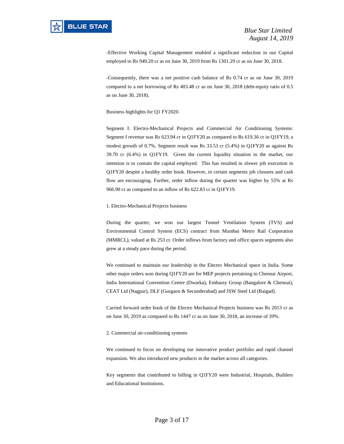-Effective Working Capital Management enabled a significant reduction in our Capital employed to Rs 949.20 cr as on June 30, 2019 from Rs 1301.29 cr as on June 30, 2018.

-Consequently, there was a net positive cash balance of Rs 0.74 cr as on June 30, 2019 compared to a net borrowing of Rs 403.48 cr as on June 30, 2018 (debt-equity ratio of 0.5 as on June 30, 2018).

Business highlights for Q1 FY2020.

Segment I: Electro-Mechanical Projects and Commercial Air Conditioning Systems: Segment I revenue was Rs 623.94 cr in Q1FY20 as compared to Rs 619.36 cr in Q1FY19, a modest growth of 0.7%. Segment result was Rs 33.53 cr (5.4%) in Q1FY20 as against Rs 39.70 cr (6.4%) in Q1FY19. Given the current liquidity situation in the market, our intention is to contain the capital employed. This has resulted in slower job execution in Q1FY20 despite a healthy order book. However, in certain segments job closures and cash flow are encouraging. Further, order inflow during the quarter was higher by 55% at Rs 966.90 cr as compared to an inflow of Rs 622.83 cr in Q1FY19.

#### 1. Electro-Mechanical Projects business

During the quarter, we won our largest Tunnel Ventilation System (TVS) and Environmental Control System (ECS) contract from Mumbai Metro Rail Corporation (MMRCL), valued at Rs 253 cr. Order inflows from factory and office spaces segments also grew at a steady pace during the period.

We continued to maintain our leadership in the Electro Mechanical space in India. Some other major orders won during Q1FY20 are for MEP projects pertaining to Chennai Airport, India International Convention Centre (Dwarka), Embassy Group (Bangalore & Chennai), CEAT Ltd (Nagpur), DLF (Gurgaon & Secunderabad) and JSW Steel Ltd (Raigad).

Carried forward order book of the Electro Mechanical Projects business was Rs 2013 cr as on June 30, 2019 as compared to Rs 1447 cr as on June 30, 2018, an increase of 39%.

2. Commercial air-conditioning systems

We continued to focus on developing our innovative product portfolio and rapid channel expansion. We also introduced new products in the market across all categories.

Key segments that contributed to billing in Q1FY20 were Industrial, Hospitals, Builders and Educational Institutions.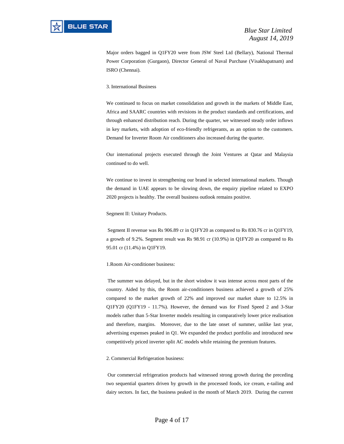Major orders bagged in Q1FY20 were from JSW Steel Ltd (Bellary), National Thermal Power Corporation (Gurgaon), Director General of Naval Purchase (Visakhapatnam) and ISRO (Chennai).

#### 3. International Business

We continued to focus on market consolidation and growth in the markets of Middle East, Africa and SAARC countries with revisions in the product standards and certifications, and through enhanced distribution reach. During the quarter, we witnessed steady order inflows in key markets, with adoption of eco-friendly refrigerants, as an option to the customers. Demand for Inverter Room Air conditioners also increased during the quarter.

Our international projects executed through the Joint Ventures at Qatar and Malaysia continued to do well.

We continue to invest in strengthening our brand in selected international markets. Though the demand in UAE appears to be slowing down, the enquiry pipeline related to EXPO 2020 projects is healthy. The overall business outlook remains positive.

Segment II: Unitary Products.

Segment II revenue was Rs 906.89 cr in Q1FY20 as compared to Rs 830.76 cr in Q1FY19, a growth of 9.2%. Segment result was Rs 98.91 cr (10.9%) in Q1FY20 as compared to Rs 95.01 cr (11.4%) in Q1FY19.

#### 1.Room Air-conditioner business:

The summer was delayed, but in the short window it was intense across most parts of the country. Aided by this, the Room air-conditioners business achieved a growth of 25% compared to the market growth of 22% and improved our market share to 12.5% in Q1FY20 (Q1FY19 - 11.7%). However, the demand was for Fixed Speed 2 and 3-Star models rather than 5-Star Inverter models resulting in comparatively lower price realisation and therefore, margins. Moreover, due to the late onset of summer, unlike last year, advertising expenses peaked in Q1. We expanded the product portfolio and introduced new competitively priced inverter split AC models while retaining the premium features.

#### 2. Commercial Refrigeration business:

Our commercial refrigeration products had witnessed strong growth during the preceding two sequential quarters driven by growth in the processed foods, ice cream, e-tailing and dairy sectors. In fact, the business peaked in the month of March 2019. During the current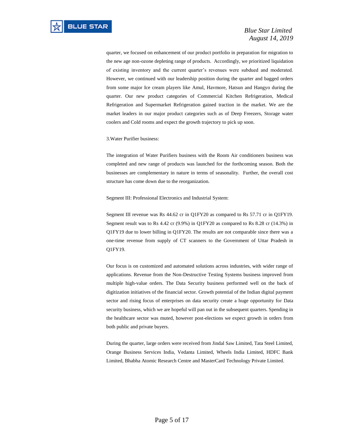quarter, we focused on enhancement of our product portfolio in preparation for migration to the new age non-ozone depleting range of products. Accordingly, we prioritized liquidation of existing inventory and the current quarter's revenues were subdued and moderated. However, we continued with our leadership position during the quarter and bagged orders from some major Ice cream players like Amul, Havmore, Hatsun and Hangyo during the quarter. Our new product categories of Commercial Kitchen Refrigeration, Medical Refrigeration and Supermarket Refrigeration gained traction in the market. We are the market leaders in our major product categories such as of Deep Freezers, Storage water coolers and Cold rooms and expect the growth trajectory to pick up soon.

#### 3.Water Purifier business:

The integration of Water Purifiers business with the Room Air conditioners business was completed and new range of products was launched for the forthcoming season. Both the businesses are complementary in nature in terms of seasonality. Further, the overall cost structure has come down due to the reorganization.

Segment III: Professional Electronics and Industrial System:

Segment III revenue was Rs 44.62 cr in Q1FY20 as compared to Rs 57.71 cr in Q1FY19. Segment result was to Rs 4.42 cr (9.9%) in Q1FY20 as compared to Rs 8.28 cr (14.3%) in Q1FY19 due to lower billing in Q1FY20. The results are not comparable since there was a one-time revenue from supply of CT scanners to the Government of Uttar Pradesh in Q1FY19.

Our focus is on customized and automated solutions across industries, with wider range of applications. Revenue from the Non-Destructive Testing Systems business improved from multiple high-value orders. The Data Security business performed well on the back of digitization initiatives of the financial sector. Growth potential of the Indian digital payment sector and rising focus of enterprises on data security create a huge opportunity for Data security business, which we are hopeful will pan out in the subsequent quarters. Spending in the healthcare sector was muted, however post-elections we expect growth in orders from both public and private buyers.

During the quarter, large orders were received from Jindal Saw Limited, Tata Steel Limited, Orange Business Services India, Vedanta Limited, Wheels India Limited, HDFC Bank Limited, Bhabha Atomic Research Centre and MasterCard Technology Private Limited.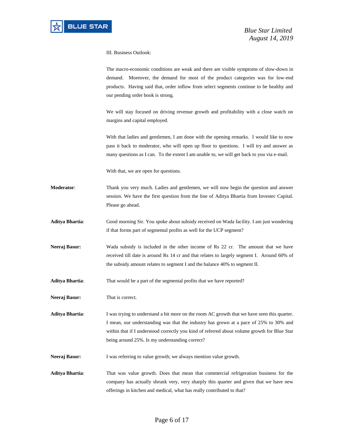III. Business Outlook:

The macro-economic conditions are weak and there are visible symptoms of slow-down in demand. Moreover, the demand for most of the product categories was for low-end products. Having said that, order inflow from select segments continue to be healthy and our pending order book is strong.

We will stay focused on driving revenue growth and profitability with a close watch on margins and capital employed.

With that ladies and gentlemen, I am done with the opening remarks. I would like to now pass it back to moderator, who will open up floor to questions. I will try and answer as many questions as I can. To the extent I am unable to, we will get back to you via e-mail.

With that, we are open for questions.

- **Moderator**: Thank you very much. Ladies and gentlemen, we will now begin the question and answer session. We have the first question from the line of Aditya Bhartia from Investec Capital. Please go ahead.
- **Aditya Bhartia**: Good morning Sir. You spoke about subsidy received on Wada facility. I am just wondering if that forms part of segmental profits as well for the UCP segment?
- **Neeraj Basur:** Wada subsidy is included in the other income of Rs 22 cr. The amount that we have received till date is around Rs 14 cr and that relates to largely segment I. Around 60% of the subsidy amount relates to segment I and the balance 40% to segment II.
- **Aditya Bhartia**: That would be a part of the segmental profits that we have reported?
- **Neeraj Basur:** That is correct.

**Aditya Bhartia**: I was trying to understand a bit more on the room AC growth that we have seen this quarter. I mean, our understanding was that the industry has grown at a pace of 25% to 30% and within that if I understood correctly you kind of referred about volume growth for Blue Star being around 25%. Is my understanding correct?

- Neeraj Basur: I was referring to value growth; we always mention value growth.
- **Aditya Bhartia**: That was value growth. Does that mean that commercial refrigeration business for the company has actually shrunk very, very sharply this quarter and given that we have new offerings in kitchen and medical, what has really contributed to that?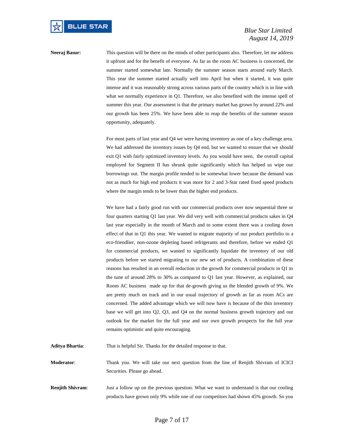**Neeraj Basur:** This question will be there on the minds of other participants also. Therefore, let me address it upfront and for the benefit of everyone. As far as the room AC business is concerned, the summer started somewhat late. Normally the summer season starts around early March. This year the summer started actually well into April but when it started, it was quite intense and it was reasonably strong across various parts of the country which is in line with what we normally experience in Q1. Therefore, we also benefited with the intense spell of summer this year. Our assessment is that the primary market has grown by around 22% and our growth has been 25%. We have been able to reap the benefits of the summer season opportunity, adequately.

> For most parts of last year and Q4 we were having inventory as one of a key challenge area. We had addressed the inventory issues by Q4 end, but we wanted to ensure that we should exit Q1 with fairly optimized inventory levels. As you would have seen, the overall capital employed for Segment II has shrunk quite significantly which has helped us wipe our borrowings out. The margin profile tended to be somewhat lower because the demand was not as much for high end products it was more for 2 and 3-Star rated fixed speed products where the margin tends to be lower than the higher end products.

> We have had a fairly good run with our commercial products over now sequential three or four quarters starting Q1 last year. We did very well with commercial products sakes in Q4 last year especially in the month of March and to some extent there was a cooling down effect of that in Q1 this year. We wanted to migrate majority of our product portfolio to a eco-friendlier, non-ozone depleting based refrigerants and therefore, before we ended Q1 for commercial products, we wanted to significantly liquidate the inventory of our old products before we started migrating to our new set of products. A combination of these reasons has resulted in an overall reduction in the growth for commercial products in Q1 to the tune of around 28% to 30% as compared to Q1 last year. However, as explained, our Room AC business made up for that de-growth giving us the blended growth of 9%. We are pretty much on track and in our usual trajectory of growth as far as room ACs are concerned. The added advantage which we will now have is because of the thin inventory base we will get into Q2, Q3, and Q4 on the normal business growth trajectory and our outlook for the market for the full year and our own growth prospects for the full year remains optimistic and quite encouraging.

**Aditya Bhartia**: That is helpful Sir. Thanks for the detailed response to that.

**Moderator**: Thank you. We will take our next question from the line of Renjith Shivram of ICICI Securities. Please go ahead.

**Renjith Shivram:** Just a follow up on the previous question. What we want to understand is that our cooling products have grown only 9% while one of our competitors had shown 45% growth. So you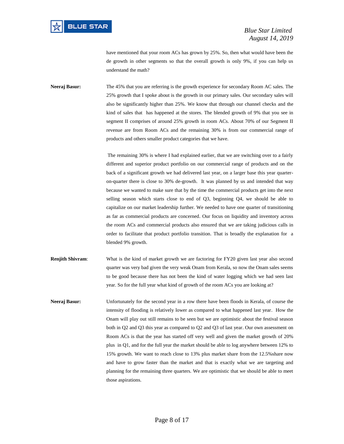have mentioned that your room ACs has grown by 25%. So, then what would have been the de growth in other segments so that the overall growth is only 9%, if you can help us understand the math?

**Neeraj Basur:** The 45% that you are referring is the growth experience for secondary Room AC sales. The 25% growth that I spoke about is the growth in our primary sales. Our secondary sales will also be significantly higher than 25%. We know that through our channel checks and the kind of sales that has happened at the stores. The blended growth of 9% that you see in segment II comprises of around 25% growth in room ACs. About 70% of our Segment II revenue are from Room ACs and the remaining 30% is from our commercial range of products and others smaller product categories that we have.

> The remaining 30% is where I had explained earlier, that we are switching over to a fairly different and superior product portfolio on our commercial range of products and on the back of a significant growth we had delivered last year, on a larger base this year quarteron-quarter there is close to 30% de-growth. It was planned by us and intended that way because we wanted to make sure that by the time the commercial products get into the next selling season which starts close to end of Q3, beginning Q4, we should be able to capitalize on our market leadership further. We needed to have one quarter of transitioning as far as commercial products are concerned. Our focus on liquidity and inventory across the room ACs and commercial products also ensured that we are taking judicious calls in order to facilitate that product portfolio transition. That is broadly the explanation for a blended 9% growth.

- **Renjith Shivram:** What is the kind of market growth we are factoring for FY20 given last year also second quarter was very bad given the very weak Onam from Kerala, so now the Onam sales seems to be good because there has not been the kind of water logging which we had seen last year. So for the full year what kind of growth of the room ACs you are looking at?
- **Neeraj Basur:** Unfortunately for the second year in a row there have been floods in Kerala, of course the intensity of flooding is relatively lower as compared to what happened last year. How the Onam will play out still remains to be seen but we are optimistic about the festival season both in Q2 and Q3 this year as compared to Q2 and Q3 of last year. Our own assessment on Room ACs is that the year has started off very well and given the market growth of 20% plus in Q1, and for the full year the market should be able to log anywhere between 12% to 15% growth. We want to reach close to 13% plus market share from the 12.5%share now and have to grow faster than the market and that is exactly what we are targeting and planning for the remaining three quarters. We are optimistic that we should be able to meet those aspirations.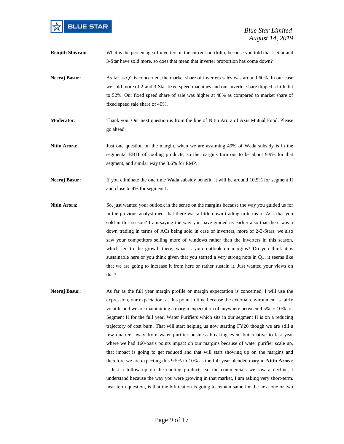

 *Blue Star Limited August 14, 2019*

- **Renjith Shivram:** What is the percentage of inverters in the current portfolio, because you told that 2-Star and 3-Star have sold more, so does that mean that inverter proportion has come down?
- **Neeraj Basur:** As far as Q1 is concerned, the market share of inverters sales was around 60%. In our case we sold more of 2-and 3-Star fixed speed machines and our inverter share dipped a little bit to 52%. Our fixed speed share of sale was higher at 48% as compared to market share of fixed speed sale share of 40%.
- **Moderator**: Thank you. Our next question is from the line of Nitin Arora of Axis Mutual Fund. Please go ahead.
- **Nitin Arora:** Just one question on the margin, when we are assuming 40% of Wada subsidy is in the segmental EBIT of cooling products, so the margins turn out to be about 9.9% for that segment, and similar way the 3.6% for EMP.
- **Neeraj Basur:** If you eliminate the one time Wada subsidy benefit, it will be around 10.5% for segment II and close to 4% for segment I.
- **Nitin Arora**: So, just wanted your outlook in the sense on the margins because the way you guided us for in the previous analyst meet that there was a little down trading in terms of ACs that you sold in this season? I am saying the way you have guided us earlier also that there was a down trading in terms of ACs being sold in case of inverters, more of 2-3-Stars, we also saw your competitors selling more of windows rather than the inverters in this season, which led to the growth there, what is your outlook on margins? Do you think it is sustainable here or you think given that you started a very strong note in Q1, it seems like that we are going to increase it from here or rather sustain it. Just wanted your views on that?
- **Neeraj Basur:** As far as the full year margin profile or margin expectation is concerned, I will use the expression, our expectation, at this point in time because the external environment is fairly volatile and we are maintaining a margin expectation of anywhere between 9.5% to 10% for Segment II for the full year. Water Purifiers which sits in our segment II is on a reducing trajectory of cost burn. That will start helping us now starting FY20 though we are still a few quarters away from water purifier business breaking even, but relative to last year where we had 160-basis points impact on our margins because of water purifier scale up, that impact is going to get reduced and that will start showing up on the margins and therefore we are expecting this 9.5% to 10% as the full year blended margin. **Nitin Arora**:

Just a follow up on the cooling products, so the commercials we saw a decline, I understand because the way you were growing in that market, I am asking very short-term, near term question, is that the bifurcation is going to remain same for the next one or two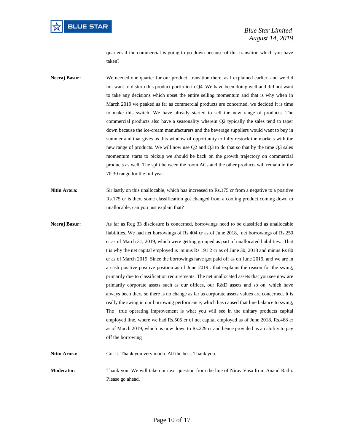

quarters if the commercial is going to go down because of this transition which you have taken?

- **Neeraj Basur:** We needed one quarter for our product transition there, as I explained earlier, and we did not want to disturb this product portfolio in Q4. We have been doing well and did not want to take any decisions which upset the entire selling momentum and that is why when in March 2019 we peaked as far as commercial products are concerned, we decided it is time to make this switch. We have already started to sell the new range of products. The commercial products also have a seasonality wherein Q2 typically the sales tend to taper down because the ice-cream manufacturers and the beverage suppliers would want to buy in summer and that gives us this window of opportunity to fully restock the markets with the new range of products. We will now use Q2 and Q3 to do that so that by the time Q3 sales momentum starts to pickup we should be back on the growth trajectory on commercial products as well. The split between the room ACs and the other products will remain in the 70:30 range for the full year.
- **Nitin Arora:** Sir lastly on this unallocable, which has increased to Rs.175 cr from a negative to a positive Rs.175 cr is there some classification got changed from a cooling product coming down to unallocable, can you just explain that?
- **Neeraj Basur:** As far as Reg 33 disclosure is concerned, borrowings need to be classified as unallocable liabilities. We had net borrowings of Rs.404 cr as of June 2018, net borrowings of Rs.250 cr as of March 31, 2019, which were getting grouped as part of unallocated liabilities. That t is why the net capital employed is minus Rs 191.2 cr as of June 30, 2018 and minus Rs 80 cr as of March 2019. Since the borrowings have got paid off as on June 2019, and we are in a cash positive positive position as of June 2019,. that explains the reason for the swing, primarily due to classification requirements. The net unallocated assets that you see now are primarily corporate assets such as our offices, our R&D assets and so on, which have always been there so there is no change as far as corporate assets values are concerned. It is really the swing in our borrowing performance, which has caused that line balance to swing, The true operating improvement is what you will see in the unitary products capital employed line, where we had Rs.505 cr of net capital employed as of June 2018, Rs.468 cr as of March 2019, which is now down to Rs.229 cr and hence provided us an ability to pay off the borrowing

**Nitin Arora:** Got it. Thank you very much. All the best. Thank you.

**Moderator:** Thank you. We will take our next question from the line of Nirav Vasa from Anand Rathi. Please go ahead.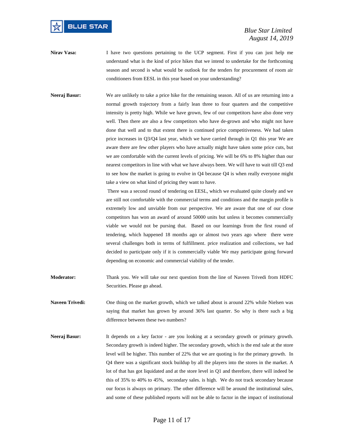

- **Nirav Vasa:** I have two questions pertaining to the UCP segment. First if you can just help me understand what is the kind of price hikes that we intend to undertake for the forthcoming season and second is what would be outlook for the tenders for procurement of room air conditioners from EESL in this year based on your understanding?
- **Neeraj Basur:** We are unlikely to take a price hike for the remaining season. All of us are returning into a normal growth trajectory from a fairly lean three to four quarters and the competitive intensity is pretty high. While we have grown, few of our competitors have also done very well. Then there are also a few competitors who have de-grown and who might not have done that well and to that extent there is continued price competitiveness. We had taken price increases in Q3/Q4 last year, which we have carried through in Q1 this year We are aware there are few other players who have actually might have taken some price cuts, but we are comfortable with the current levels of pricing. We will be 6% to 8% higher than our nearest competitors in line with what we have always been. We will have to wait till Q3 end to see how the market is going to evolve in Q4 because Q4 is when really everyone might take a view on what kind of pricing they want to have.

There was a second round of tendering on EESL, which we evaluated quite closely and we are still not comfortable with the commercial terms and conditions and the margin profile is extremely low and unviable from our perspective. We are aware that one of our close competitors has won an award of around 50000 units but unless it becomes commercially viable we would not be pursing that. Based on our learnings from the first round of tendering, which happened 18 months ago or almost two years ago where there were several challenges both in terms of fulfillment. price realization and collections, we had decided to participate only if it is commercially viable We may participate going forward depending on economic and commercial viability of the tender.

- **Moderator:** Thank you. We will take our next question from the line of Naveen Trivedi from HDFC Securities. Please go ahead.
- **Naveen Trivedi:** One thing on the market growth, which we talked about is around 22% while Nielsen was saying that market has grown by around 36% last quarter. So why is there such a big difference between these two numbers?
- **Neeraj Basur:** It depends on a key factor are you looking at a secondary growth or primary growth. Secondary growth is indeed higher. The secondary growth, which is the end sale at the store level will be higher. This number of 22% that we are quoting is for the primary growth. In Q4 there was a significant stock buildup by all the players into the stores in the market. A lot of that has got liquidated and at the store level in Q1 and therefore, there will indeed be this of 35% to 40% to 45%, secondary sales. is high. We do not track secondary because our focus is always on primary. The other difference will be around the institutional sales, and some of these published reports will not be able to factor in the impact of institutional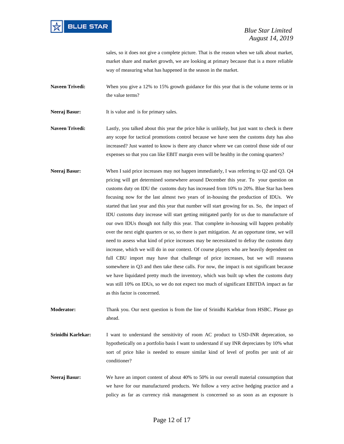

sales, so it does not give a complete picture. That is the reason when we talk about market, market share and market growth, we are looking at primary because that is a more reliable way of measuring what has happened in the season in the market.

**Naveen Trivedi:** When you give a 12% to 15% growth guidance for this year that is the volume terms or in the value terms?

**Neeraj Basur:** It is value and is for primary sales.

**Naveen Trivedi:** Lastly, you talked about this year the price hike is unlikely, but just want to check is there any scope for tactical promotions control because we have seen the customs duty has also increased? Just wanted to know is there any chance where we can control those side of our expenses so that you can like EBIT margin even will be healthy in the coming quarters?

**Neeraj Basur:** When I said price increases may not happen immediately, I was referring to Q2 and Q3. Q4 pricing will get determined somewhere around December this year. To your question on customs duty on IDU the customs duty has increased from 10% to 20%. Blue Star has been focusing now for the last almost two years of in-housing the production of IDUs. We started that last year and this year that number will start growing for us. So, the impact of IDU customs duty increase will start getting mitigated partly for us due to manufacture of our own IDUs though not fully this year. That complete in-housing will happen probably over the next eight quarters or so, so there is part mitigation. At an opportune time, we will need to assess what kind of price increases may be necessitated to defray the customs duty increase, which we will do in our context. Of course players who are heavily dependent on full CBU import may have that challenge of price increases, but we will reassess somewhere in Q3 and then take these calls. For now, the impact is not significant because we have liquidated pretty much the inventory, which was built up when the customs duty was still 10% on IDUs, so we do not expect too much of significant EBITDA impact as far as this factor is concerned.

**Moderator:** Thank you. Our next question is from the line of Srinidhi Karlekar from HSBC. Please go ahead.

**Srinidhi Karlekar:** I want to understand the sensitivity of room AC product to USD-INR deprecation, so hypothetically on a portfolio basis I want to understand if say INR depreciates by 10% what sort of price hike is needed to ensure similar kind of level of profits per unit of air conditioner?

**Neeraj Basur:** We have an import content of about 40% to 50% in our overall material consumption that we have for our manufactured products. We follow a very active hedging practice and a policy as far as currency risk management is concerned so as soon as an exposure is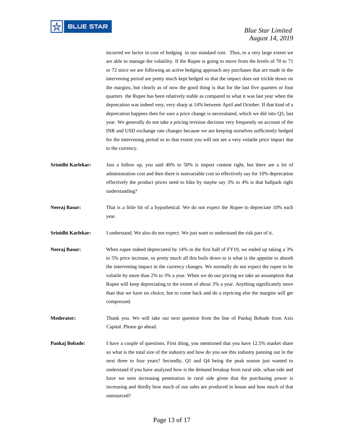incurred we factor in cost of hedging in our standard cost. Thus, to a very large extent we are able to manage the volatility. If the Rupee is going to move from the levels of 70 to 71 or 72 since we are following an active hedging approach any purchases that are made in the intervening period are pretty much kept hedged so that the impact does not trickle down on the margins, but clearly as of now the good thing is that for the last five quarters or four quarters the Rupee has been relatively stable as compared to what it was last year when the deprecation was indeed very, very sharp at 14% between April and October. If that kind of a deprecation happens then for sure a price change is necessitated, which we did into Q3, last year. We generally do not take a pricing revision decision very frequently on account of the INR and USD exchange rate changes because we are keeping ourselves sufficiently hedged for the intervening period so to that extent you will not see a very volatile price impact due to the currency.

- **Srinidhi Karlekar:** Just a follow up, you said 40% to 50% is import content right, but there are a lot of administration cost and then there is nonvariable cost so effectively say for 10% deprecation effectively the product prices need to hike by maybe say 3% to 4% is that ballpark right understanding?
- **Neeraj Basur:** That is a little bit of a hypothetical. We do not expect the Rupee to depreciate 10% each year.

**Srinidhi Karlekar:** I understand. We also do not expect. We just want to understand the risk part of it.

- **Neeraj Basur:** When rupee indeed depreciated by 14% in the first half of FY19, we ended up taking a 3% to 5% price increase, so pretty much all this boils down to is what is the appetite to absorb the intervening impact in the currency changes. We normally do not expect the rupee to be volatile by more than 2% to 3% a year. When we do our pricing we take an assumption that Rupee will keep depreciating to the extent of about 3% a year. Anything significantly more than that we have no choice, but to come back and do a repricing else the margins will get compressed.
- **Moderator:** Thank you. We will take our next question from the line of Pankaj Bobade from Axis Capital. Please go ahead.
- **Pankaj Bobade:** I have a couple of questions. First thing, you mentioned that you have 12.5% market share so what is the total size of the industry and how do you see this industry panning out in the next three to four years? Secondly, Q1 and Q4 being the peak season just wanted to understand if you have analyzed how is the demand breakup from rural side, urban side and have we seen increasing penetration in rural side given that the purchasing power is increasing and thirdly how much of our sales are produced in house and how much of that outsourced?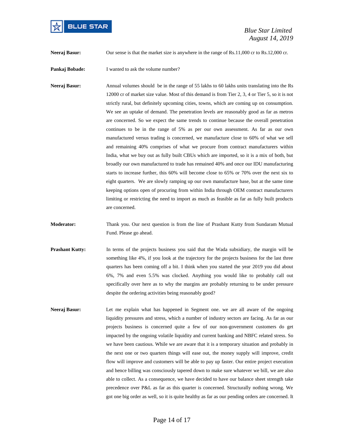

 *Blue Star Limited August 14, 2019*

**Neeraj Basur:** Our sense is that the market size is anywhere in the range of Rs.11,000 cr to Rs.12,000 cr.

**Pankaj Bobade:** I wanted to ask the volume number?

**Neeraj Basur:** Annual volumes should be in the range of 55 lakhs to 60 lakhs units translating into the Rs 12000 cr of market size value. Most of this demand is from Tier 2, 3, 4 or Tier 5, so it is not strictly rural, but definitely upcoming cities, towns, which are coming up on consumption. We see an uptake of demand. The penetration levels are reasonably good as far as metros are concerned. So we expect the same trends to continue because the overall penetration continues to be in the range of 5% as per our own assessment. As far as our own manufactured versus trading is concerned, we manufacture close to 60% of what we sell and remaining 40% comprises of what we procure from contract manufacturers within India, what we buy out as fully built CBUs which are imported, so it is a mix of both, but broadly our own manufactured to trade has remained 40% and once our IDU manufacturing starts to increase further, this 60% will become close to 65% or 70% over the next six to eight quarters. We are slowly ramping up our own manufacture base, but at the same time keeping options open of procuring from within India through OEM contract manufacturers limiting or restricting the need to import as much as feasible as far as fully built products are concerned.

**Moderator:** Thank you. Our next question is from the line of Prashant Kutty from Sundaram Mutual Fund. Please go ahead.

- **Prashant Kutty:** In terms of the projects business you said that the Wada subsidiary, the margin will be something like 4%, if you look at the trajectory for the projects business for the last three quarters has been coming off a bit. I think when you started the year 2019 you did about 6%, 7% and even 5.5% was clocked. Anything you would like to probably call out specifically over here as to why the margins are probably returning to be under pressure despite the ordering activities being reasonably good?
- **Neeraj Basur:** Let me explain what has happened in Segment one. we are all aware of the ongoing liquidity pressures and stress, which a number of industry sectors are facing. As far as our projects business is concerned quite a few of our non-government customers do get impacted by the ongoing volatile liquidity and current banking and NBFC related stress. So we have been cautious. While we are aware that it is a temporary situation and probably in the next one or two quarters things will ease out, the money supply will improve, credit flow will improve and customers will be able to pay up faster. Our entire project execution and hence billing was consciously tapered down to make sure whatever we bill, we are also able to collect. As a consequence, we have decided to have our balance sheet strength take precedence over P&L as far as this quarter is concerned. Structurally nothing wrong. We got one big order as well, so it is quite healthy as far as our pending orders are concerned. It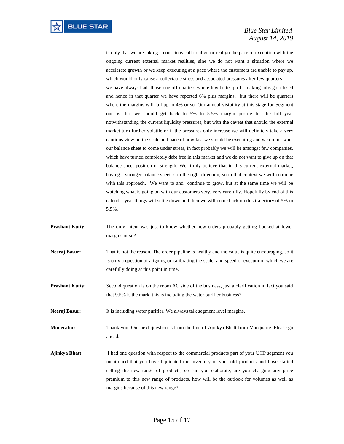is only that we are taking a conscious call to align or realign the pace of execution with the ongoing current external market realities, sine we do not want a situation where we accelerate growth or we keep executing at a pace where the customers are unable to pay up, which would only cause a collectable stress and associated pressures after few quarters we have always had those one off quarters where few better profit making jobs got closed and hence in that quarter we have reported 6% plus margins. but there will be quarters where the margins will fall up to 4% or so. Our annual visibility at this stage for Segment one is that we should get back to 5% to 5.5% margin profile for the full year notwithstanding the current liquidity pressures, but with the caveat that should the external market turn further volatile or if the pressures only increase we will definitely take a very cautious view on the scale and pace of how fast we should be executing and we do not want our balance sheet to come under stress, in fact probably we will be amongst few companies, which have turned completely debt free in this market and we do not want to give up on that balance sheet position of strength. We firmly believe that in this current external market, having a stronger balance sheet is in the right direction, so in that context we will continue with this approach. We want to and continue to grow, but at the same time we will be watching what is going on with our customers very, very carefully. Hopefully by end of this calendar year things will settle down and then we will come back on this trajectory of 5% to 5.5%.

- **Prashant Kutty:** The only intent was just to know whether new orders probably getting booked at lower margins or so?
- **Neeraj Basur:** That is not the reason. The order pipeline is healthy and the value is quite encouraging, so it is only a question of aligning or calibrating the scale and speed of execution which we are carefully doing at this point in time.
- **Prashant Kutty:** Second question is on the room AC side of the business, just a clarification in fact you said that 9.5% is the mark, this is including the water purifier business?

**Neeraj Basur:** It is including water purifier. We always talk segment level margins.

**Moderator:** Thank you. Our next question is from the line of Ajinkya Bhatt from Macquarie. Please go ahead.

**Ajinkya Bhatt:** I had one question with respect to the commercial products part of your UCP segment you mentioned that you have liquidated the inventory of your old products and have started selling the new range of products, so can you elaborate, are you charging any price premium to this new range of products, how will be the outlook for volumes as well as margins because of this new range?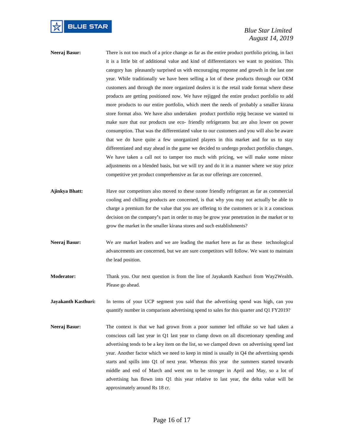### *Blue Star Limited August 14, 2019*

- **Neeraj Basur:** There is not too much of a price change as far as the entire product portfolio pricing, in fact it is a little bit of additional value and kind of differentiators we want to position. This category has pleasantly surprised us with encouraging response and growth in the last one year. While traditionally we have been selling a lot of these products through our OEM customers and through the more organized dealers it is the retail trade format where these products are getting positioned now. We have rejigged the entire product portfolio to add more products to our entire portfolio, which meet the needs of probably a smaller kirana store format also. We have also undertaken product portfolio rejig because we wanted to make sure that our products use eco- friendly refrigerants but are also lower on power consumption. That was the differentiated value to our customers and you will also be aware that we do have quite a few unorganized players in this market and for us to stay differentiated and stay ahead in the game we decided to undergo product portfolio changes. We have taken a call not to tamper too much with pricing, we will make some minor adjustments on a blended basis, but we will try and do it in a manner where we stay price competitive yet product comprehensive as far as our offerings are concerned.
- **Ajinkya Bhatt:** Have our competitors also moved to these ozone friendly refrigerant as far as commercial cooling and chilling products are concerned, is that why you may not actually be able to charge a premium for the value that you are offering to the customers or is it a conscious decision on the company**'**s part in order to may be grow year penetration in the market or to grow the market in the smaller kirana stores and such establishments?
- **Neeraj Basur:** We are market leaders and we are leading the market here as far as these technological advancements are concerned, but we are sure competitors will follow. We want to maintain the lead position.
- **Moderator:** Thank you. Our next question is from the line of Jayakanth Kasthuri from Way2Wealth. Please go ahead.
- **Jayakanth Kasthuri:** In terms of your UCP segment you said that the advertising spend was high, can you quantify number in comparison advertising spend to sales for this quarter and Q1 FY2019?
- **Neeraj Basur:** The context is that we had grown from a poor summer led offtake so we had taken a conscious call last year in Q1 last year to clamp down on all discretionary spending and advertising tends to be a key item on the list, so we clamped down on advertising spend last year. Another factor which we need to keep in mind is usually in Q4 the advertising spends starts and spills into Q1 of next year. Whereas this year the summers started towards middle and end of March and went on to be stronger in April and May, so a lot of advertising has flown into Q1 this year relative to last year, the delta value will be approximately around Rs 18 cr.